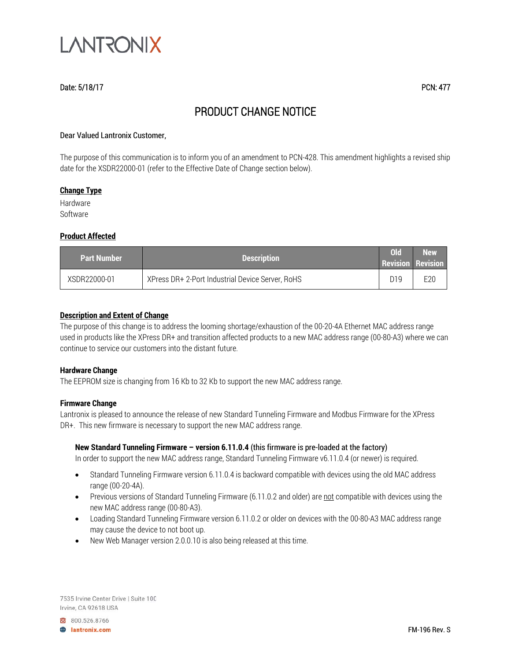

# Date: 5/18/17 PCN: 477

# PRODUCT CHANGE NOTICE

#### Dear Valued Lantronix Customer,

The purpose of this communication is to inform you of an amendment to PCN-428. This amendment highlights a revised ship date for the XSDR22000-01 (refer to the Effective Date of Change section below).

#### **Change Type**

Hardware Software

# **Product Affected**

| <b>Part Number</b> | <b>Description</b>                               | Old | New<br><b>Revision Revision</b> |
|--------------------|--------------------------------------------------|-----|---------------------------------|
| XSDR22000-01       | XPress DR+ 2-Port Industrial Device Server, RoHS | D19 | E20                             |

# **Description and Extent of Change**

The purpose of this change is to address the looming shortage/exhaustion of the 00-20-4A Ethernet MAC address range used in products like the XPress DR+ and transition affected products to a new MAC address range (00-80-A3) where we can continue to service our customers into the distant future.

#### **Hardware Change**

The EEPROM size is changing from 16 Kb to 32 Kb to support the new MAC address range.

#### **Firmware Change**

Lantronix is pleased to announce the release of new Standard Tunneling Firmware and Modbus Firmware for the XPress DR+. This new firmware is necessary to support the new MAC address range.

# **New Standard Tunneling Firmware – version 6.11.0.4** (this firmware is pre-loaded at the factory)

In order to support the new MAC address range, Standard Tunneling Firmware v6.11.0.4 (or newer) is required.

- Standard Tunneling Firmware version 6.11.0.4 is backward compatible with devices using the old MAC address range (00-20-4A).
- Previous versions of Standard Tunneling Firmware (6.11.0.2 and older) are not compatible with devices using the new MAC address range (00-80-A3).
- Loading Standard Tunneling Firmware version 6.11.0.2 or older on devices with the 00-80-A3 MAC address range may cause the device to not boot up.
- New Web Manager version 2.0.0.10 is also being released at this time.

7535 Irvine Center Drive | Suite 100 Irvine, CA 92618 USA

800.526.8766 **B** lantronix.com